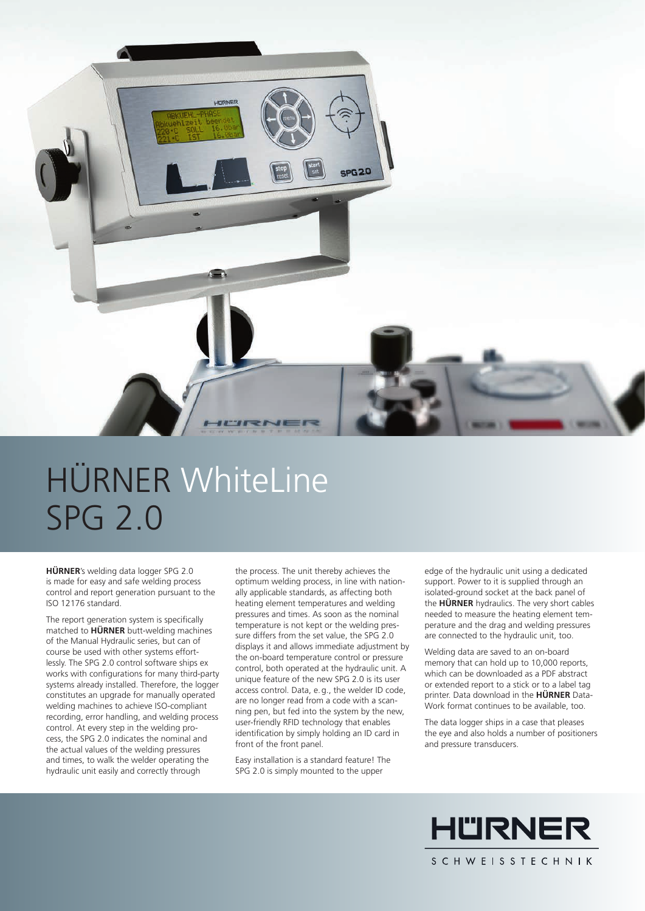

# HÜRNER WhiteLine SPG 2.0

**HÜRNER**'s welding data logger SPG 2.0 is made for easy and safe welding process control and report generation pursuant to the ISO 12176 standard.

The report generation system is specifically matched to **HÜRNER** butt-welding machines of the Manual Hydraulic series, but can of course be used with other systems effortlessly. The SPG 2.0 control software ships ex works with configurations for many third-party systems already installed. Therefore, the logger constitutes an upgrade for manually operated welding machines to achieve ISO-compliant recording, error handling, and welding process control. At every step in the welding process, the SPG 2.0 indicates the nominal and the actual values of the welding pressures and times, to walk the welder operating the hydraulic unit easily and correctly through

the process. The unit thereby achieves the optimum welding process, in line with nationally applicable standards, as affecting both heating element temperatures and welding pressures and times. As soon as the nominal temperature is not kept or the welding pressure differs from the set value, the SPG 2.0 displays it and allows immediate adjustment by the on-board temperature control or pressure control, both operated at the hydraulic unit. A unique feature of the new SPG 2.0 is its user access control. Data, e. g., the welder ID code, are no longer read from a code with a scanning pen, but fed into the system by the new, user-friendly RFID technology that enables identification by simply holding an ID card in front of the front panel.

Easy installation is a standard feature! The SPG 2.0 is simply mounted to the upper

edge of the hydraulic unit using a dedicated support. Power to it is supplied through an isolated-ground socket at the back panel of the **HÜRNER** hydraulics. The very short cables needed to measure the heating element temperature and the drag and welding pressures are connected to the hydraulic unit, too.

Welding data are saved to an on-board memory that can hold up to 10,000 reports, which can be downloaded as a PDF abstract or extended report to a stick or to a label tag printer. Data download in the **HÜRNER** Data-Work format continues to be available, too.

The data logger ships in a case that pleases the eye and also holds a number of positioners and pressure transducers.